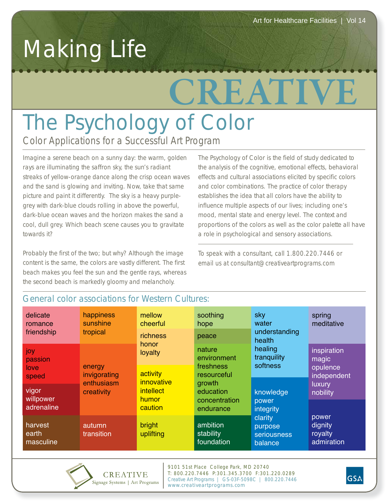## Making Life

# **CREATIVE**

### *Color Applications for a Successful Art Program* The Psychology of Color

Imagine a serene beach on a sunny day: the warm, golden rays are illuminating the saffron sky, the sun's radiant streaks of yellow-orange dance along the crisp ocean waves and the sand is glowing and inviting. Now, take that same picture and paint it differently. The sky is a heavy purplegrey with dark-blue clouds rolling in above the powerful, dark-blue ocean waves and the horizon makes the sand a cool, dull grey. Which beach scene causes you to gravitate towards it?

Probably the first of the two; but why? Although the image content is the same, the colors are vastly different. The first beach makes you feel the sun and the gentle rays, whereas the second beach is markedly gloomy and melancholy.

The Psychology of Color is the field of study dedicated to the analysis of the cognitive, emotional effects, behavioral effects and cultural associations elicited by specific colors and color combinations. The practice of color therapy establishes the idea that all colors have the ability to influence multiple aspects of our lives; including one's mood, mental state and energy level. The context and proportions of the colors as well as the color palette all have a role in psychological and sensory associations.

To speak with a consultant, call 1.800.220.7446 or email us at consultant@creativeartprograms.com

| delicate<br>romance<br>friendship | happiness<br>sunshine<br>tropical                  | mellow<br>cheerful                                             | soothing<br>hope                                                                                       | sky<br>water                                                                                                                                     | spring<br>meditative                                                                                               |
|-----------------------------------|----------------------------------------------------|----------------------------------------------------------------|--------------------------------------------------------------------------------------------------------|--------------------------------------------------------------------------------------------------------------------------------------------------|--------------------------------------------------------------------------------------------------------------------|
|                                   |                                                    | richness<br>honor<br>loyalty                                   | peace                                                                                                  | understanding<br>health<br>healing<br>tranquility<br>softness<br>knowledge<br>power<br>integrity<br>clarity<br>purpose<br>seriousness<br>balance |                                                                                                                    |
| joy<br>passion                    | energy<br>invigorating<br>enthusiasm<br>creativity |                                                                | nature<br>environment<br>freshness<br>resourceful<br>growth<br>education<br>concentration<br>endurance |                                                                                                                                                  | inspiration<br>magic<br>opulence<br>independent<br>luxury<br>nobility<br>power<br>dignity<br>royalty<br>admiration |
| love<br>speed                     |                                                    | activity<br>innovative<br><i>intellect</i><br>humor<br>caution |                                                                                                        |                                                                                                                                                  |                                                                                                                    |
| vigor<br>willpower<br>adrenaline  |                                                    |                                                                |                                                                                                        |                                                                                                                                                  |                                                                                                                    |
| harvest<br>earth<br>masculine     | autumn<br>transition                               | bright<br>uplifting                                            | ambition<br>stability<br>foundation                                                                    |                                                                                                                                                  |                                                                                                                    |

#### General color associations for Western Cultures:



9101 51st Place College Park, MD 20740 T: 800.220.7446 P:301.345.3700 F:301.220.0289 Creative Art Programs | GS-03F-5098C | 800.220.7446 www.creativeartprograms.com

**GSA**